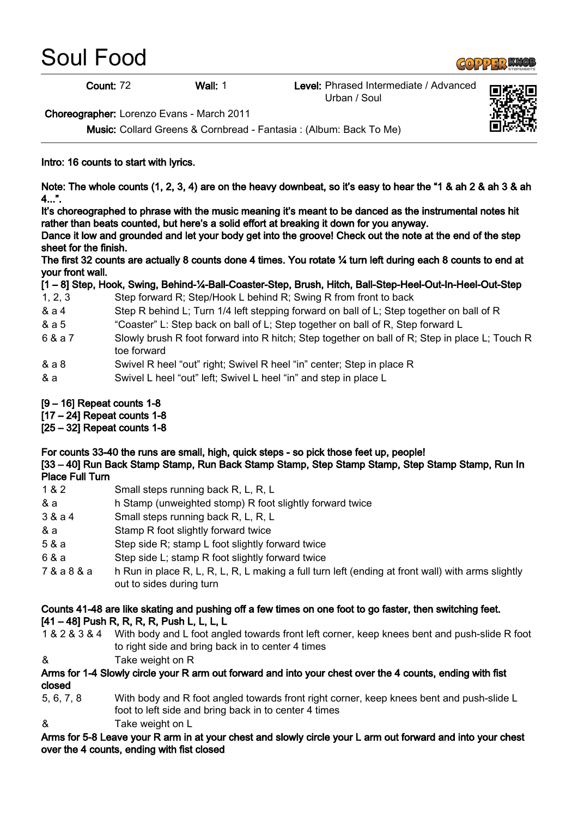# Soul Food

## $\left(\frac{1}{2}\right)$  of  $\left(\frac{1}{2}\right)$  of  $\left(\frac{1}{2}\right)$

Count: 72 Wall: 1 Level: Phrased Intermediate / Advanced Urban / Soul



Choreographer: Lorenzo Evans - March 2011

Music: Collard Greens & Cornbread - Fantasia : (Album: Back To Me)

### Intro: 16 counts to start with lyrics.

Note: The whole counts (1, 2, 3, 4) are on the heavy downbeat, so it's easy to hear the "1 & ah 2 & ah 3 & ah  $4...$ ".

It's choreographed to phrase with the music meaning it's meant to be danced as the instrumental notes hit rather than beats counted, but here's a solid effort at breaking it down for you anyway.

Dance it low and grounded and let your body get into the groove! Check out the note at the end of the step sheet for the finish.

The first 32 counts are actually 8 counts done 4 times. You rotate ¼ turn left during each 8 counts to end at your front wall.

|  |  | [1 - 8] Step, Hook, Swing, Behind-¼-Ball-Coaster-Step, Brush, Hitch, Ball-Step-Heel-Out-In-Heel-Out-Step |  |
|--|--|----------------------------------------------------------------------------------------------------------|--|
|  |  |                                                                                                          |  |
|  |  |                                                                                                          |  |
|  |  |                                                                                                          |  |

- 1, 2, 3 Step forward R; Step/Hook L behind R; Swing R from front to back
- & a 4 Step R behind L; Turn 1/4 left stepping forward on ball of L; Step together on ball of R
- & a 5 "Coaster" L: Step back on ball of L; Step together on ball of R, Step forward L
- 6 & a 7 Slowly brush R foot forward into R hitch; Step together on ball of R; Step in place L; Touch R toe forward
- & a 8 Swivel R heel "out" right; Swivel R heel "in" center; Step in place R
- & a Swivel L heel "out" left; Swivel L heel "in" and step in place L
- [9 16] Repeat counts 1-8
- [17 24] Repeat counts 1-8
- [25 32] Repeat counts 1-8

For counts 33-40 the runs are small, high, quick steps - so pick those feet up, people! [33 – 40] Run Back Stamp Stamp, Run Back Stamp Stamp, Step Stamp Stamp, Step Stamp Stamp, Run In Place Full Turn

- 1 & 2 Small steps running back R, L, R, L
- & a h Stamp (unweighted stomp) R foot slightly forward twice
- 3 & a 4 Small steps running back R, L, R, L
- & a Stamp R foot slightly forward twice
- 5 & a Step side R; stamp L foot slightly forward twice
- 6 & a Step side L; stamp R foot slightly forward twice
- 7 & a 8 & a h Run in place R, L, R, L, R, L making a full turn left (ending at front wall) with arms slightly out to sides during turn

#### Counts 41-48 are like skating and pushing off a few times on one foot to go faster, then switching feet. [41 – 48] Push R, R, R, R, Push L, L, L, L

- 1 & 2 & 3 & 4 With body and L foot angled towards front left corner, keep knees bent and push-slide R foot to right side and bring back in to center 4 times
- & Take weight on R

#### Arms for 1-4 Slowly circle your R arm out forward and into your chest over the 4 counts, ending with fist closed

- 5, 6, 7, 8 With body and R foot angled towards front right corner, keep knees bent and push-slide L foot to left side and bring back in to center 4 times
- & Take weight on L

Arms for 5-8 Leave your R arm in at your chest and slowly circle your L arm out forward and into your chest over the 4 counts, ending with fist closed